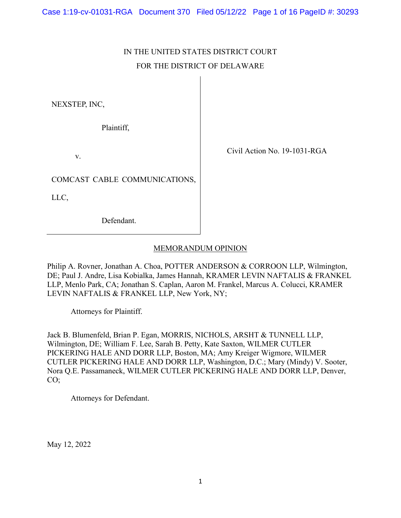Case 1:19-cv-01031-RGA Document 370 Filed 05/12/22 Page 1 of 16 PageID #: 30293

# IN THE UNITED STATES DISTRICT COURT FOR THE DISTRICT OF DELAWARE

NEXSTEP, INC,

Plaintiff,

v.

Civil Action No. 19-1031-RGA

LLC,

Defendant.

COMCAST CABLE COMMUNICATIONS,

# MEMORANDUM OPINION

Philip A. Rovner, Jonathan A. Choa, POTTER ANDERSON & CORROON LLP, Wilmington, DE; Paul J. Andre, Lisa Kobialka, James Hannah, KRAMER LEVIN NAFTALIS & FRANKEL LLP, Menlo Park, CA; Jonathan S. Caplan, Aaron M. Frankel, Marcus A. Colucci, KRAMER LEVIN NAFTALIS & FRANKEL LLP, New York, NY;

Attorneys for Plaintiff.

Jack B. Blumenfeld, Brian P. Egan, MORRIS, NICHOLS, ARSHT & TUNNELL LLP, Wilmington, DE; William F. Lee, Sarah B. Petty, Kate Saxton, WILMER CUTLER PICKERING HALE AND DORR LLP, Boston, MA; Amy Kreiger Wigmore, WILMER CUTLER PICKERING HALE AND DORR LLP, Washington, D.C.; Mary (Mindy) V. Sooter, Nora Q.E. Passamaneck, WILMER CUTLER PICKERING HALE AND DORR LLP, Denver, CO;

Attorneys for Defendant.

May 12, 2022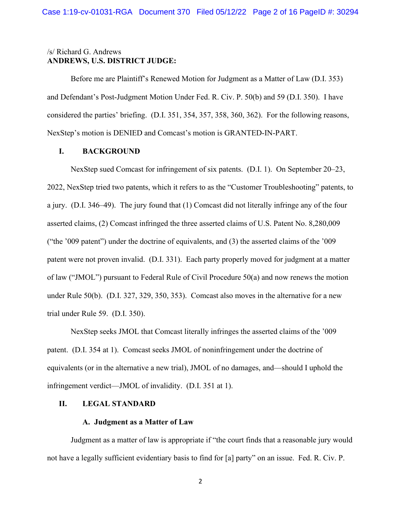# /s/ Richard G. Andrews **ANDREWS, U.S. DISTRICT JUDGE:**

Before me are Plaintiff's Renewed Motion for Judgment as a Matter of Law (D.I. 353) and Defendant's Post-Judgment Motion Under Fed. R. Civ. P. 50(b) and 59 (D.I. 350). I have considered the parties' briefing. (D.I. 351, 354, 357, 358, 360, 362). For the following reasons, NexStep's motion is DENIED and Comcast's motion is GRANTED-IN-PART.

# **I. BACKGROUND**

NexStep sued Comcast for infringement of six patents. (D.I. 1). On September 20–23, 2022, NexStep tried two patents, which it refers to as the "Customer Troubleshooting" patents, to a jury. (D.I. 346–49). The jury found that (1) Comcast did not literally infringe any of the four asserted claims, (2) Comcast infringed the three asserted claims of U.S. Patent No. 8,280,009 ("the '009 patent") under the doctrine of equivalents, and (3) the asserted claims of the '009 patent were not proven invalid. (D.I. 331). Each party properly moved for judgment at a matter of law ("JMOL") pursuant to Federal Rule of Civil Procedure 50(a) and now renews the motion under Rule 50(b). (D.I. 327, 329, 350, 353). Comcast also moves in the alternative for a new trial under Rule 59. (D.I. 350).

NexStep seeks JMOL that Comcast literally infringes the asserted claims of the '009 patent. (D.I. 354 at 1). Comcast seeks JMOL of noninfringement under the doctrine of equivalents (or in the alternative a new trial), JMOL of no damages, and—should I uphold the infringement verdict—JMOL of invalidity. (D.I. 351 at 1).

# **II. LEGAL STANDARD**

#### **A. Judgment as a Matter of Law**

Judgment as a matter of law is appropriate if "the court finds that a reasonable jury would not have a legally sufficient evidentiary basis to find for [a] party" on an issue. Fed. R. Civ. P.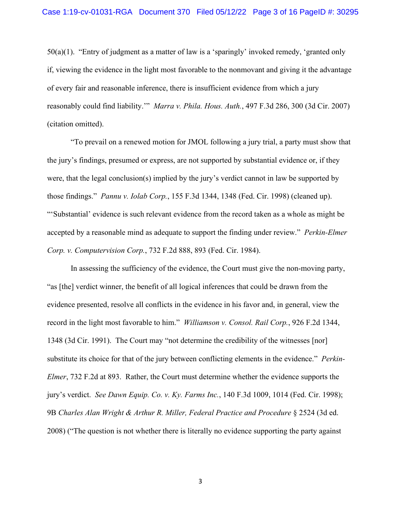$50(a)(1)$ . "Entry of judgment as a matter of law is a 'sparingly' invoked remedy, 'granted only if, viewing the evidence in the light most favorable to the nonmovant and giving it the advantage of every fair and reasonable inference, there is insufficient evidence from which a jury reasonably could find liability.'" *Marra v. Phila. Hous. Auth.*, 497 F.3d 286, 300 (3d Cir. 2007) (citation omitted).

"To prevail on a renewed motion for JMOL following a jury trial, a party must show that the jury's findings, presumed or express, are not supported by substantial evidence or, if they were, that the legal conclusion(s) implied by the jury's verdict cannot in law be supported by those findings." *Pannu v. Iolab Corp.*, 155 F.3d 1344, 1348 (Fed. Cir. 1998) (cleaned up). "'Substantial' evidence is such relevant evidence from the record taken as a whole as might be accepted by a reasonable mind as adequate to support the finding under review." *Perkin-Elmer Corp. v. Computervision Corp.*, 732 F.2d 888, 893 (Fed. Cir. 1984).

In assessing the sufficiency of the evidence, the Court must give the non-moving party, "as [the] verdict winner, the benefit of all logical inferences that could be drawn from the evidence presented, resolve all conflicts in the evidence in his favor and, in general, view the record in the light most favorable to him." *Williamson v. Consol. Rail Corp.*, 926 F.2d 1344, 1348 (3d Cir. 1991). The Court may "not determine the credibility of the witnesses [nor] substitute its choice for that of the jury between conflicting elements in the evidence." *Perkin-Elmer*, 732 F.2d at 893. Rather, the Court must determine whether the evidence supports the jury's verdict. *See Dawn Equip. Co. v. Ky. Farms Inc.*, 140 F.3d 1009, 1014 (Fed. Cir. 1998); 9B *Charles Alan Wright & Arthur R. Miller, Federal Practice and Procedure* § 2524 (3d ed. 2008) ("The question is not whether there is literally no evidence supporting the party against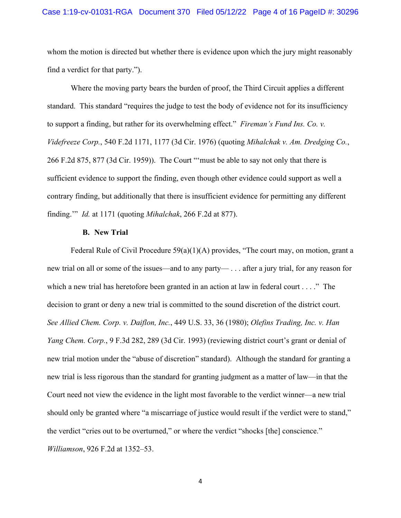whom the motion is directed but whether there is evidence upon which the jury might reasonably find a verdict for that party.").

Where the moving party bears the burden of proof, the Third Circuit applies a different standard. This standard "requires the judge to test the body of evidence not for its insufficiency to support a finding, but rather for its overwhelming effect." *Fireman's Fund Ins. Co. v. Videfreeze Corp.*, 540 F.2d 1171, 1177 (3d Cir. 1976) (quoting *Mihalchak v. Am. Dredging Co.*, 266 F.2d 875, 877 (3d Cir. 1959)). The Court "'must be able to say not only that there is sufficient evidence to support the finding, even though other evidence could support as well a contrary finding, but additionally that there is insufficient evidence for permitting any different finding.'" *Id.* at 1171 (quoting *Mihalchak*, 266 F.2d at 877).

#### **B. New Trial**

Federal Rule of Civil Procedure 59(a)(1)(A) provides, "The court may, on motion, grant a new trial on all or some of the issues—and to any party— . . . after a jury trial, for any reason for which a new trial has heretofore been granted in an action at law in federal court  $\dots$ ." The decision to grant or deny a new trial is committed to the sound discretion of the district court. *See Allied Chem. Corp. v. Daiflon, Inc.*, 449 U.S. 33, 36 (1980); *Olefins Trading, Inc. v. Han Yang Chem. Corp.*, 9 F.3d 282, 289 (3d Cir. 1993) (reviewing district court's grant or denial of new trial motion under the "abuse of discretion" standard). Although the standard for granting a new trial is less rigorous than the standard for granting judgment as a matter of law—in that the Court need not view the evidence in the light most favorable to the verdict winner—a new trial should only be granted where "a miscarriage of justice would result if the verdict were to stand," the verdict "cries out to be overturned," or where the verdict "shocks [the] conscience." *Williamson*, 926 F.2d at 1352–53.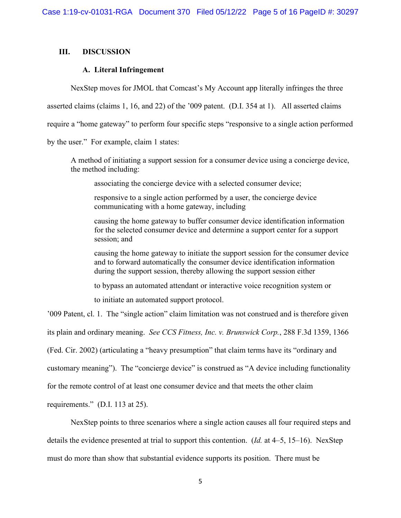# **III. DISCUSSION**

# **A. Literal Infringement**

NexStep moves for JMOL that Comcast's My Account app literally infringes the three

asserted claims (claims 1, 16, and 22) of the '009 patent. (D.I. 354 at 1). All asserted claims

require a "home gateway" to perform four specific steps "responsive to a single action performed

by the user." For example, claim 1 states:

A method of initiating a support session for a consumer device using a concierge device, the method including:

associating the concierge device with a selected consumer device;

responsive to a single action performed by a user, the concierge device communicating with a home gateway, including

causing the home gateway to buffer consumer device identification information for the selected consumer device and determine a support center for a support session; and

causing the home gateway to initiate the support session for the consumer device and to forward automatically the consumer device identification information during the support session, thereby allowing the support session either

to bypass an automated attendant or interactive voice recognition system or

to initiate an automated support protocol.

'009 Patent, cl. 1. The "single action" claim limitation was not construed and is therefore given

its plain and ordinary meaning. *See CCS Fitness, Inc. v. Brunswick Corp.*, 288 F.3d 1359, 1366

(Fed. Cir. 2002) (articulating a "heavy presumption" that claim terms have its "ordinary and

customary meaning"). The "concierge device" is construed as "A device including functionality

for the remote control of at least one consumer device and that meets the other claim

requirements." (D.I. 113 at 25).

NexStep points to three scenarios where a single action causes all four required steps and

details the evidence presented at trial to support this contention. (*Id.* at 4–5, 15–16). NexStep

must do more than show that substantial evidence supports its position. There must be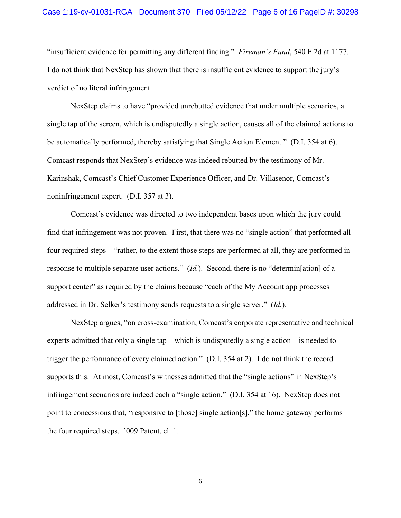#### Case 1:19-cv-01031-RGA Document 370 Filed 05/12/22 Page 6 of 16 PageID #: 30298

"insufficient evidence for permitting any different finding." *Fireman's Fund*, 540 F.2d at 1177. I do not think that NexStep has shown that there is insufficient evidence to support the jury's verdict of no literal infringement.

NexStep claims to have "provided unrebutted evidence that under multiple scenarios, a single tap of the screen, which is undisputedly a single action, causes all of the claimed actions to be automatically performed, thereby satisfying that Single Action Element." (D.I. 354 at 6). Comcast responds that NexStep's evidence was indeed rebutted by the testimony of Mr. Karinshak, Comcast's Chief Customer Experience Officer, and Dr. Villasenor, Comcast's noninfringement expert. (D.I. 357 at 3).

Comcast's evidence was directed to two independent bases upon which the jury could find that infringement was not proven. First, that there was no "single action" that performed all four required steps—"rather, to the extent those steps are performed at all, they are performed in response to multiple separate user actions." (*Id.*). Second, there is no "determin[ation] of a support center" as required by the claims because "each of the My Account app processes addressed in Dr. Selker's testimony sends requests to a single server." (*Id.*).

NexStep argues, "on cross-examination, Comcast's corporate representative and technical experts admitted that only a single tap—which is undisputedly a single action—is needed to trigger the performance of every claimed action." (D.I. 354 at 2). I do not think the record supports this. At most, Comcast's witnesses admitted that the "single actions" in NexStep's infringement scenarios are indeed each a "single action." (D.I. 354 at 16). NexStep does not point to concessions that, "responsive to [those] single action[s]," the home gateway performs the four required steps. '009 Patent, cl. 1.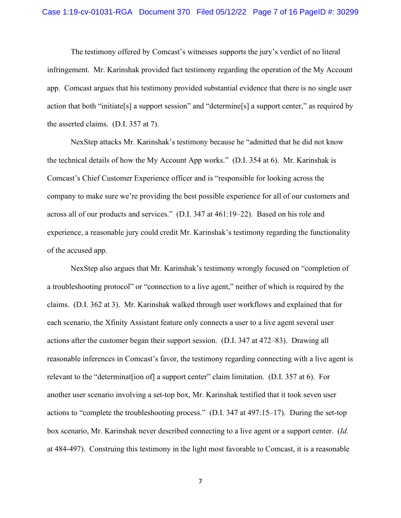#### Case 1:19-cv-01031-RGA Document 370 Filed 05/12/22 Page 7 of 16 PageID #: 30299

The testimony offered by Comcast's witnesses supports the jury's verdict of no literal infringement. Mr. Karinshak provided fact testimony regarding the operation of the My Account app. Comcast argues that his testimony provided substantial evidence that there is no single user action that both "initiate[s] a support session" and "determine[s] a support center," as required by the asserted claims. (D.I. 357 at 7).

NexStep attacks Mr. Karinshak's testimony because he "admitted that he did not know the technical details of how the My Account App works." (D.I. 354 at 6). Mr. Karinshak is Comcast's Chief Customer Experience officer and is "responsible for looking across the company to make sure we're providing the best possible experience for all of our customers and across all of our products and services." (D.I. 347 at 461:19–22). Based on his role and experience, a reasonable jury could credit Mr. Karinshak's testimony regarding the functionality of the accused app.

NexStep also argues that Mr. Karinshak's testimony wrongly focused on "completion of a troubleshooting protocol" or "connection to a live agent," neither of which is required by the claims. (D.I. 362 at 3). Mr. Karinshak walked through user workflows and explained that for each scenario, the Xfinity Assistant feature only connects a user to a live agent several user actions after the customer began their support session. (D.I. 347 at 472–83). Drawing all reasonable inferences in Comcast's favor, the testimony regarding connecting with a live agent is relevant to the "determinat[ion of] a support center" claim limitation. (D.I. 357 at 6). For another user scenario involving a set-top box, Mr. Karinshak testified that it took seven user actions to "complete the troubleshooting process." (D.I. 347 at 497:15–17). During the set-top box scenario, Mr. Karinshak never described connecting to a live agent or a support center. (*Id.* at 484-497). Construing this testimony in the light most favorable to Comcast, it is a reasonable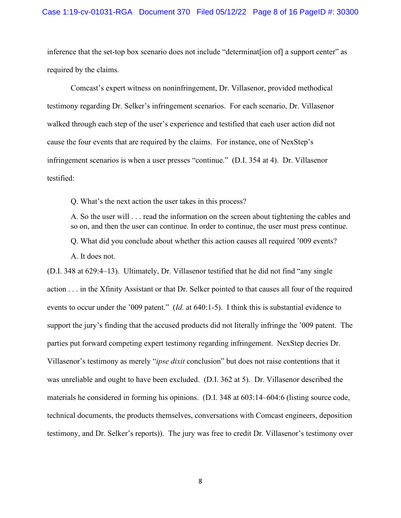#### Case 1:19-cv-01031-RGA Document 370 Filed 05/12/22 Page 8 of 16 PageID #: 30300

inference that the set-top box scenario does not include "determinat[ion of] a support center" as required by the claims.

Comcast's expert witness on noninfringement, Dr. Villasenor, provided methodical testimony regarding Dr. Selker's infringement scenarios. For each scenario, Dr. Villasenor walked through each step of the user's experience and testified that each user action did not cause the four events that are required by the claims. For instance, one of NexStep's infringement scenarios is when a user presses "continue." (D.I. 354 at 4). Dr. Villasenor testified:

Q. What's the next action the user takes in this process?

A. So the user will . . . read the information on the screen about tightening the cables and so on, and then the user can continue. In order to continue, the user must press continue. Q. What did you conclude about whether this action causes all required '009 events?

A. It does not.

(D.I. 348 at 629:4–13). Ultimately, Dr. Villasenor testified that he did not find "any single action . . . in the Xfinity Assistant or that Dr. Selker pointed to that causes all four of the required events to occur under the '009 patent." (*Id.* at 640:1-5). I think this is substantial evidence to support the jury's finding that the accused products did not literally infringe the '009 patent. The parties put forward competing expert testimony regarding infringement. NexStep decries Dr. Villasenor's testimony as merely "*ipse dixit* conclusion" but does not raise contentions that it was unreliable and ought to have been excluded. (D.I. 362 at 5). Dr. Villasenor described the materials he considered in forming his opinions. (D.I. 348 at 603:14–604:6 (listing source code, technical documents, the products themselves, conversations with Comcast engineers, deposition testimony, and Dr. Selker's reports)). The jury was free to credit Dr. Villasenor's testimony over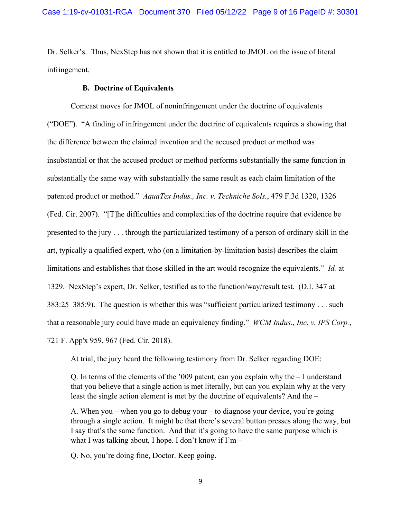Dr. Selker's. Thus, NexStep has not shown that it is entitled to JMOL on the issue of literal infringement.

### **B. Doctrine of Equivalents**

Comcast moves for JMOL of noninfringement under the doctrine of equivalents ("DOE"). "A finding of infringement under the doctrine of equivalents requires a showing that the difference between the claimed invention and the accused product or method was insubstantial or that the accused product or method performs substantially the same function in substantially the same way with substantially the same result as each claim limitation of the patented product or method." *AquaTex Indus., Inc. v. Techniche Sols.*, 479 F.3d 1320, 1326 (Fed. Cir. 2007). "[T]he difficulties and complexities of the doctrine require that evidence be presented to the jury . . . through the particularized testimony of a person of ordinary skill in the art, typically a qualified expert, who (on a limitation-by-limitation basis) describes the claim limitations and establishes that those skilled in the art would recognize the equivalents." *Id.* at 1329. NexStep's expert, Dr. Selker, testified as to the function/way/result test. (D.I. 347 at 383:25–385:9). The question is whether this was "sufficient particularized testimony . . . such that a reasonable jury could have made an equivalency finding." *WCM Indus., Inc. v. IPS Corp.*, 721 F. App'x 959, 967 (Fed. Cir. 2018).

At trial, the jury heard the following testimony from Dr. Selker regarding DOE:

Q. In terms of the elements of the '009 patent, can you explain why the – I understand that you believe that a single action is met literally, but can you explain why at the very least the single action element is met by the doctrine of equivalents? And the –

A. When you – when you go to debug your – to diagnose your device, you're going through a single action. It might be that there's several button presses along the way, but I say that's the same function. And that it's going to have the same purpose which is what I was talking about, I hope. I don't know if  $\Gamma'$ m –

Q. No, you're doing fine, Doctor. Keep going.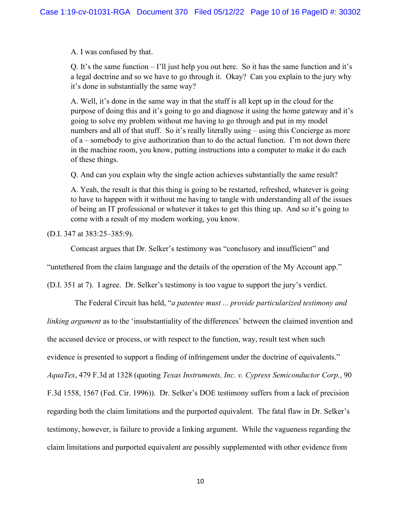A. I was confused by that.

O. It's the same function  $-I'll$  just help you out here. So it has the same function and it's a legal doctrine and so we have to go through it. Okay? Can you explain to the jury why it's done in substantially the same way?

A. Well, it's done in the same way in that the stuff is all kept up in the cloud for the purpose of doing this and it's going to go and diagnose it using the home gateway and it's going to solve my problem without me having to go through and put in my model numbers and all of that stuff. So it's really literally using – using this Concierge as more of a – somebody to give authorization than to do the actual function. I'm not down there in the machine room, you know, putting instructions into a computer to make it do each of these things.

Q. And can you explain why the single action achieves substantially the same result?

A. Yeah, the result is that this thing is going to be restarted, refreshed, whatever is going to have to happen with it without me having to tangle with understanding all of the issues of being an IT professional or whatever it takes to get this thing up. And so it's going to come with a result of my modem working, you know.

(D.I. 347 at 383:25–385:9).

Comcast argues that Dr. Selker's testimony was "conclusory and insufficient" and

"untethered from the claim language and the details of the operation of the My Account app."

(D.I. 351 at 7). I agree. Dr. Selker's testimony is too vague to support the jury's verdict.

 The Federal Circuit has held, "*a patentee must ... provide particularized testimony and linking argument* as to the 'insubstantiality of the differences' between the claimed invention and the accused device or process, or with respect to the function, way, result test when such evidence is presented to support a finding of infringement under the doctrine of equivalents." *AquaTex*, 479 F.3d at 1328 (quoting *Texas Instruments, Inc. v. Cypress Semiconductor Corp.*, 90 F.3d 1558, 1567 (Fed. Cir. 1996)). Dr. Selker's DOE testimony suffers from a lack of precision regarding both the claim limitations and the purported equivalent. The fatal flaw in Dr. Selker's testimony, however, is failure to provide a linking argument. While the vagueness regarding the claim limitations and purported equivalent are possibly supplemented with other evidence from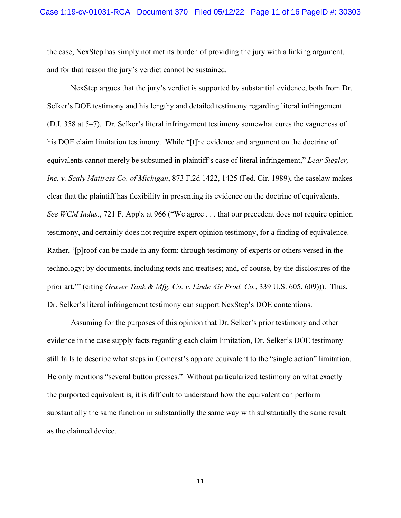the case, NexStep has simply not met its burden of providing the jury with a linking argument, and for that reason the jury's verdict cannot be sustained.

NexStep argues that the jury's verdict is supported by substantial evidence, both from Dr. Selker's DOE testimony and his lengthy and detailed testimony regarding literal infringement. (D.I. 358 at 5–7). Dr. Selker's literal infringement testimony somewhat cures the vagueness of his DOE claim limitation testimony. While "[t]he evidence and argument on the doctrine of equivalents cannot merely be subsumed in plaintiff's case of literal infringement," *Lear Siegler, Inc. v. Sealy Mattress Co. of Michigan*, 873 F.2d 1422, 1425 (Fed. Cir. 1989), the caselaw makes clear that the plaintiff has flexibility in presenting its evidence on the doctrine of equivalents. *See WCM Indus.*, 721 F. App'x at 966 ("We agree . . . that our precedent does not require opinion testimony, and certainly does not require expert opinion testimony, for a finding of equivalence. Rather, '[p]roof can be made in any form: through testimony of experts or others versed in the technology; by documents, including texts and treatises; and, of course, by the disclosures of the prior art.'" (citing *Graver Tank & Mfg. Co. v. Linde Air Prod. Co.*, 339 U.S. 605, 609))). Thus, Dr. Selker's literal infringement testimony can support NexStep's DOE contentions.

Assuming for the purposes of this opinion that Dr. Selker's prior testimony and other evidence in the case supply facts regarding each claim limitation, Dr. Selker's DOE testimony still fails to describe what steps in Comcast's app are equivalent to the "single action" limitation. He only mentions "several button presses." Without particularized testimony on what exactly the purported equivalent is, it is difficult to understand how the equivalent can perform substantially the same function in substantially the same way with substantially the same result as the claimed device.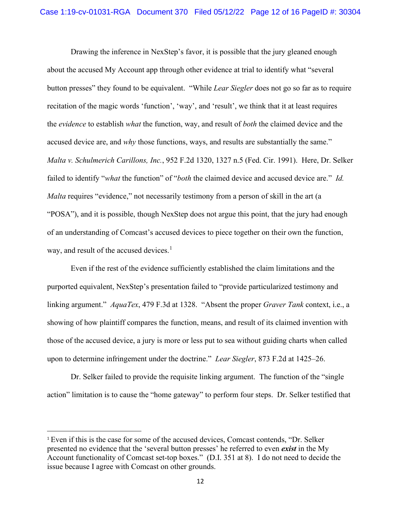Drawing the inference in NexStep's favor, it is possible that the jury gleaned enough about the accused My Account app through other evidence at trial to identify what "several button presses" they found to be equivalent. "While *Lear Siegler* does not go so far as to require recitation of the magic words 'function', 'way', and 'result', we think that it at least requires the *evidence* to establish *what* the function, way, and result of *both* the claimed device and the accused device are, and *why* those functions, ways, and results are substantially the same." *Malta v. Schulmerich Carillons, Inc.*, 952 F.2d 1320, 1327 n.5 (Fed. Cir. 1991). Here, Dr. Selker failed to identify "*what* the function" of "*both* the claimed device and accused device are." *Id. Malta* requires "evidence," not necessarily testimony from a person of skill in the art (a "POSA"), and it is possible, though NexStep does not argue this point, that the jury had enough of an understanding of Comcast's accused devices to piece together on their own the function, way, and result of the accused devices.<sup>[1](#page-11-0)</sup>

Even if the rest of the evidence sufficiently established the claim limitations and the purported equivalent, NexStep's presentation failed to "provide particularized testimony and linking argument." *AquaTex*, 479 F.3d at 1328. "Absent the proper *Graver Tank* context, i.e., a showing of how plaintiff compares the function, means, and result of its claimed invention with those of the accused device, a jury is more or less put to sea without guiding charts when called upon to determine infringement under the doctrine." *Lear Siegler*, 873 F.2d at 1425–26.

Dr. Selker failed to provide the requisite linking argument. The function of the "single action" limitation is to cause the "home gateway" to perform four steps. Dr. Selker testified that

<span id="page-11-0"></span><sup>&</sup>lt;sup>1</sup> Even if this is the case for some of the accused devices, Comcast contends, "Dr. Selker presented no evidence that the 'several button presses' he referred to even *exist* in the My Account functionality of Comcast set-top boxes." (D.I. 351 at 8). I do not need to decide the issue because I agree with Comcast on other grounds.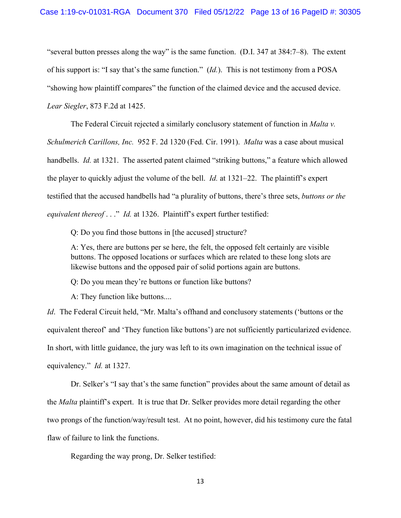"several button presses along the way" is the same function. (D.I. 347 at 384:7–8). The extent of his support is: "I say that's the same function." (*Id.*). This is not testimony from a POSA "showing how plaintiff compares" the function of the claimed device and the accused device. *Lear Siegler*, 873 F.2d at 1425.

The Federal Circuit rejected a similarly conclusory statement of function in *Malta v. Schulmerich Carillons, Inc.* 952 F. 2d 1320 (Fed. Cir. 1991). *Malta* was a case about musical handbells. *Id.* at 1321. The asserted patent claimed "striking buttons," a feature which allowed the player to quickly adjust the volume of the bell. *Id.* at 1321–22. The plaintiff's expert testified that the accused handbells had "a plurality of buttons, there's three sets, *buttons or the equivalent thereof* . . ." *Id.* at 1326. Plaintiff's expert further testified:

Q: Do you find those buttons in [the accused] structure?

A: Yes, there are buttons per se here, the felt, the opposed felt certainly are visible buttons. The opposed locations or surfaces which are related to these long slots are likewise buttons and the opposed pair of solid portions again are buttons.

Q: Do you mean they're buttons or function like buttons?

A: They function like buttons....

*Id*. The Federal Circuit held, "Mr. Malta's offhand and conclusory statements ('buttons or the equivalent thereof' and 'They function like buttons') are not sufficiently particularized evidence. In short, with little guidance, the jury was left to its own imagination on the technical issue of equivalency." *Id.* at 1327.

Dr. Selker's "I say that's the same function" provides about the same amount of detail as the *Malta* plaintiff's expert. It is true that Dr. Selker provides more detail regarding the other two prongs of the function/way/result test. At no point, however, did his testimony cure the fatal flaw of failure to link the functions.

Regarding the way prong, Dr. Selker testified: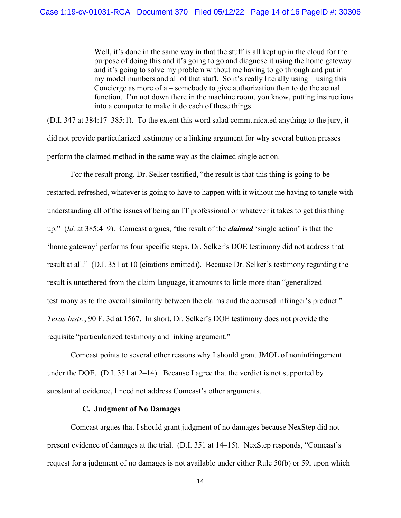Well, it's done in the same way in that the stuff is all kept up in the cloud for the purpose of doing this and it's going to go and diagnose it using the home gateway and it's going to solve my problem without me having to go through and put in my model numbers and all of that stuff. So it's really literally using – using this Concierge as more of a – somebody to give authorization than to do the actual function. I'm not down there in the machine room, you know, putting instructions into a computer to make it do each of these things.

(D.I. 347 at 384:17–385:1). To the extent this word salad communicated anything to the jury, it did not provide particularized testimony or a linking argument for why several button presses perform the claimed method in the same way as the claimed single action.

For the result prong, Dr. Selker testified, "the result is that this thing is going to be restarted, refreshed, whatever is going to have to happen with it without me having to tangle with understanding all of the issues of being an IT professional or whatever it takes to get this thing up." (*Id.* at 385:4–9). Comcast argues, "the result of the *claimed* 'single action' is that the 'home gateway' performs four specific steps. Dr. Selker's DOE testimony did not address that result at all." (D.I. 351 at 10 (citations omitted)). Because Dr. Selker's testimony regarding the result is untethered from the claim language, it amounts to little more than "generalized testimony as to the overall similarity between the claims and the accused infringer's product." *Texas Instr.*, 90 F. 3d at 1567. In short, Dr. Selker's DOE testimony does not provide the requisite "particularized testimony and linking argument."

Comcast points to several other reasons why I should grant JMOL of noninfringement under the DOE. (D.I. 351 at 2–14). Because I agree that the verdict is not supported by substantial evidence, I need not address Comcast's other arguments.

# **C. Judgment of No Damages**

Comcast argues that I should grant judgment of no damages because NexStep did not present evidence of damages at the trial. (D.I. 351 at 14–15). NexStep responds, "Comcast's request for a judgment of no damages is not available under either Rule 50(b) or 59, upon which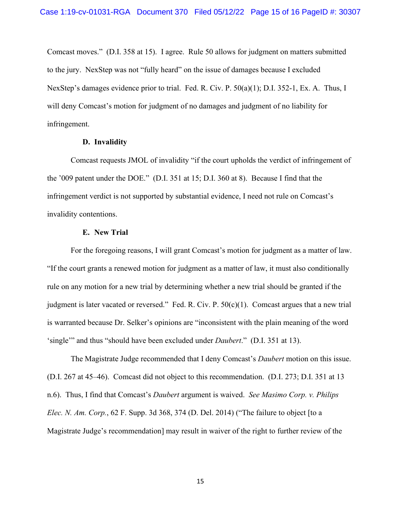Comcast moves." (D.I. 358 at 15). I agree. Rule 50 allows for judgment on matters submitted to the jury. NexStep was not "fully heard" on the issue of damages because I excluded NexStep's damages evidence prior to trial. Fed. R. Civ. P. 50(a)(1); D.I. 352-1, Ex. A. Thus, I will deny Comcast's motion for judgment of no damages and judgment of no liability for infringement.

## **D. Invalidity**

Comcast requests JMOL of invalidity "if the court upholds the verdict of infringement of the '009 patent under the DOE." (D.I. 351 at 15; D.I. 360 at 8). Because I find that the infringement verdict is not supported by substantial evidence, I need not rule on Comcast's invalidity contentions.

# **E. New Trial**

For the foregoing reasons, I will grant Comcast's motion for judgment as a matter of law. "If the court grants a renewed motion for judgment as a matter of law, it must also conditionally rule on any motion for a new trial by determining whether a new trial should be granted if the judgment is later vacated or reversed." Fed. R. Civ. P.  $50(c)(1)$ . Comcast argues that a new trial is warranted because Dr. Selker's opinions are "inconsistent with the plain meaning of the word 'single'" and thus "should have been excluded under *Daubert*." (D.I. 351 at 13).

The Magistrate Judge recommended that I deny Comcast's *Daubert* motion on this issue. (D.I. 267 at 45–46). Comcast did not object to this recommendation. (D.I. 273; D.I. 351 at 13 n.6). Thus, I find that Comcast's *Daubert* argument is waived. *See Masimo Corp. v. Philips Elec. N. Am. Corp.*, 62 F. Supp. 3d 368, 374 (D. Del. 2014) ("The failure to object [to a Magistrate Judge's recommendation] may result in waiver of the right to further review of the